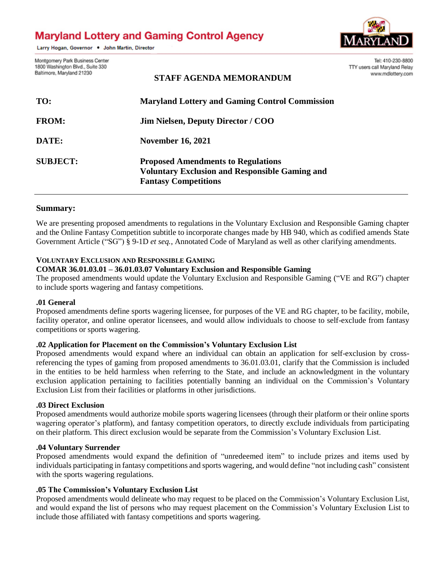# **Maryland Lottery and Gaming Control Agency**

Larry Hogan, Governor . John Martin, Director



Montgomery Park Business Center 1800 Washington Blvd., Suite 330 Baltimore, Maryland 21230

Tel: 410-230-8800 TTY users call Maryland Relay www.mdlottery.com

| TO:             | <b>Maryland Lottery and Gaming Control Commission</b>                                                                             |
|-----------------|-----------------------------------------------------------------------------------------------------------------------------------|
| <b>FROM:</b>    | <b>Jim Nielsen, Deputy Director / COO</b>                                                                                         |
| DATE:           | <b>November 16, 2021</b>                                                                                                          |
| <b>SUBJECT:</b> | <b>Proposed Amendments to Regulations</b><br><b>Voluntary Exclusion and Responsible Gaming and</b><br><b>Fantasy Competitions</b> |

# **Summary:**

We are presenting proposed amendments to regulations in the Voluntary Exclusion and Responsible Gaming chapter and the Online Fantasy Competition subtitle to incorporate changes made by HB 940, which as codified amends State Government Article ("SG") § 9-1D *et seq.*, Annotated Code of Maryland as well as other clarifying amendments.

**STAFF AGENDA MEMORANDUM**

# **VOLUNTARY EXCLUSION AND RESPONSIBLE GAMING**

#### **COMAR 36.01.03.01 – 36.01.03.07 Voluntary Exclusion and Responsible Gaming**

The proposed amendments would update the Voluntary Exclusion and Responsible Gaming ("VE and RG") chapter to include sports wagering and fantasy competitions.

### **.01 General**

Proposed amendments define sports wagering licensee, for purposes of the VE and RG chapter, to be facility, mobile, facility operator, and online operator licensees, and would allow individuals to choose to self-exclude from fantasy competitions or sports wagering.

### **.02 Application for Placement on the Commission's Voluntary Exclusion List**

Proposed amendments would expand where an individual can obtain an application for self-exclusion by crossreferencing the types of gaming from proposed amendments to 36.01.03.01, clarify that the Commission is included in the entities to be held harmless when referring to the State, and include an acknowledgment in the voluntary exclusion application pertaining to facilities potentially banning an individual on the Commission's Voluntary Exclusion List from their facilities or platforms in other jurisdictions.

### **.03 Direct Exclusion**

Proposed amendments would authorize mobile sports wagering licensees (through their platform or their online sports wagering operator's platform), and fantasy competition operators, to directly exclude individuals from participating on their platform. This direct exclusion would be separate from the Commission's Voluntary Exclusion List.

#### **.04 Voluntary Surrender**

Proposed amendments would expand the definition of "unredeemed item" to include prizes and items used by individuals participating in fantasy competitions and sports wagering, and would define "not including cash" consistent with the sports wagering regulations.

### **.05 The Commission's Voluntary Exclusion List**

Proposed amendments would delineate who may request to be placed on the Commission's Voluntary Exclusion List, and would expand the list of persons who may request placement on the Commission's Voluntary Exclusion List to include those affiliated with fantasy competitions and sports wagering.